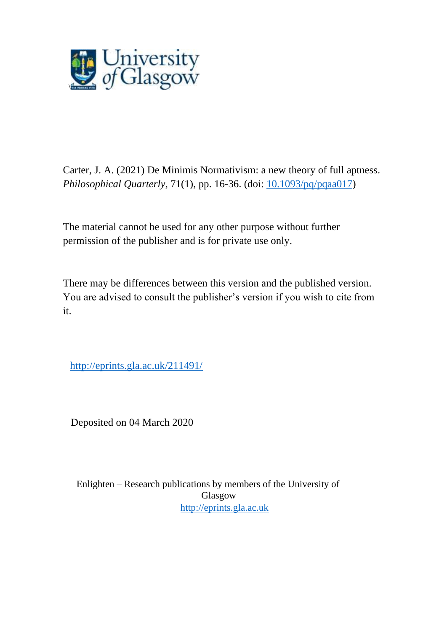

Carter, J. A. (2021) De Minimis Normativism: a new theory of full aptness. *Philosophical Quarterly*, 71(1), pp. 16-36. (doi: [10.1093/pq/pqaa017\)](http://dx.doi.org/10.1093/pq/pqaa017)

The material cannot be used for any other purpose without further permission of the publisher and is for private use only.

There may be differences between this version and the published version. You are advised to consult the publisher's version if you wish to cite from it.

<http://eprints.gla.ac.uk/211491/>

Deposited on 04 March 2020

Enlighten – Research publications by members of the University of Glasgow [http://eprints.gla.ac.uk](http://eprints.gla.ac.uk/)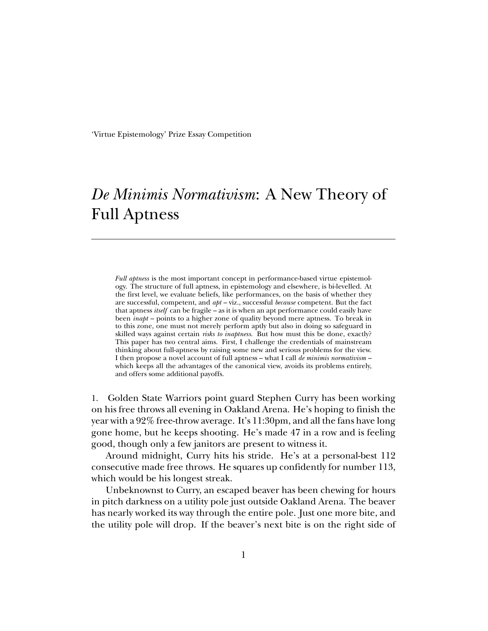'Virtue Epistemology' Prize Essay Competition

## *De Minimis Normativism*: A New Theory of Full Aptness

*Full aptness* is the most important concept in performance-based virtue epistemology. The structure of full aptness, in epistemology and elsewhere, is bi-levelled. At the first level, we evaluate beliefs, like performances, on the basis of whether they are successful, competent, and *apt* – viz., successful *because* competent. But the fact that aptness *itself* can be fragile – as it is when an apt performance could easily have been *inapt* – points to a higher zone of quality beyond mere aptness. To break in to this zone, one must not merely perform aptly but also in doing so safeguard in skilled ways against certain *risks to inaptness*. But how must this be done, exactly? This paper has two central aims. First, I challenge the credentials of mainstream thinking about full-aptness by raising some new and serious problems for the view. I then propose a novel account of full aptness – what I call *de minimis normativism* – which keeps all the advantages of the canonical view, avoids its problems entirely, and offers some additional payoffs.

1. Golden State Warriors point guard Stephen Curry has been working on his free throws all evening in Oakland Arena. He's hoping to finish the year with a 92% free-throw average. It's 11:30pm, and all the fans have long gone home, but he keeps shooting. He's made 47 in a row and is feeling good, though only a few janitors are present to witness it.

Around midnight, Curry hits his stride. He's at a personal-best 112 consecutive made free throws. He squares up confidently for number 113, which would be his longest streak.

Unbeknownst to Curry, an escaped beaver has been chewing for hours in pitch darkness on a utility pole just outside Oakland Arena. The beaver has nearly worked its way through the entire pole. Just one more bite, and the utility pole will drop. If the beaver's next bite is on the right side of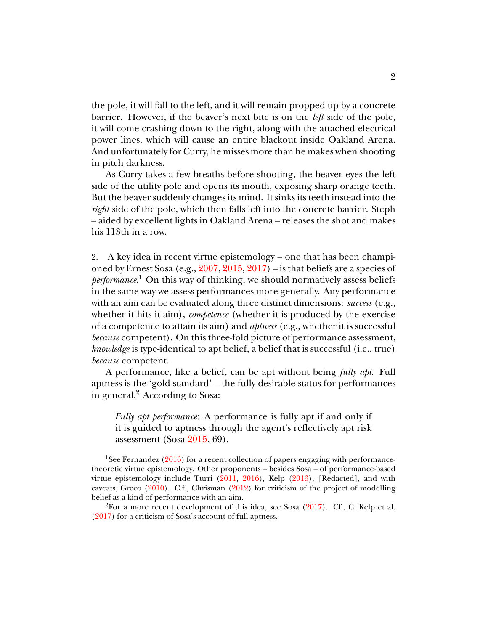the pole, it will fall to the left, and it will remain propped up by a concrete barrier. However, if the beaver's next bite is on the *left* side of the pole, it will come crashing down to the right, along with the attached electrical power lines, which will cause an entire blackout inside Oakland Arena. And unfortunately for Curry, he misses more than he makes when shooting in pitch darkness.

As Curry takes a few breaths before shooting, the beaver eyes the left side of the utility pole and opens its mouth, exposing sharp orange teeth. But the beaver suddenly changes its mind. It sinks its teeth instead into the *right* side of the pole, which then falls left into the concrete barrier. Steph – aided by excellent lights in Oakland Arena – releases the shot and makes his 113th in a row.

2. A key idea in recent virtue epistemology – one that has been championed by Ernest Sosa (e.g., [2007,](#page-24-0) [2015](#page-25-0), [2017\)](#page-25-1) – is that beliefs are a species of *performance*. [1](#page-2-0) On this way of thinking, we should normatively assess beliefs in the same way we assess performances more generally. Any performance with an aim can be evaluated along three distinct dimensions: *success* (e.g., whether it hits it aim), *competence* (whether it is produced by the exercise of a competence to attain its aim) and *aptness* (e.g., whether it is successful *because* competent). On this three-fold picture of performance assessment, *knowledge* is type-identical to apt belief, a belief that is successful (i.e., true) *because* competent.

A performance, like a belief, can be apt without being *fully apt*. Full aptness is the 'gold standard' – the fully desirable status for performances in general.[2](#page-2-1) According to Sosa:

*Fully apt performance*: A performance is fully apt if and only if it is guided to aptness through the agent's reflectively apt risk assessment (Sosa [2015](#page-25-0), 69).

<span id="page-2-0"></span><sup>1</sup>SeeFernandez ( $2016$ ) for a recent collection of papers engaging with performancetheoretic virtue epistemology. Other proponents – besides Sosa – of performance-based virtue epistemology include Turri([2011,](#page-25-2) [2016](#page-25-3)), Kelp([2013](#page-23-1)), [Redacted], and with caveats, Greco [\(2010](#page-23-2)). C.f., Chrisman([2012\)](#page-23-3) for criticism of the project of modelling belief as a kind of performance with an aim.

<span id="page-2-1"></span><sup>2</sup>Fora more recent development of this idea, see Sosa  $(2017)$  $(2017)$  $(2017)$ . Cf., C. Kelp et al. [\(2017\)](#page-24-1) for a criticism of Sosa's account of full aptness.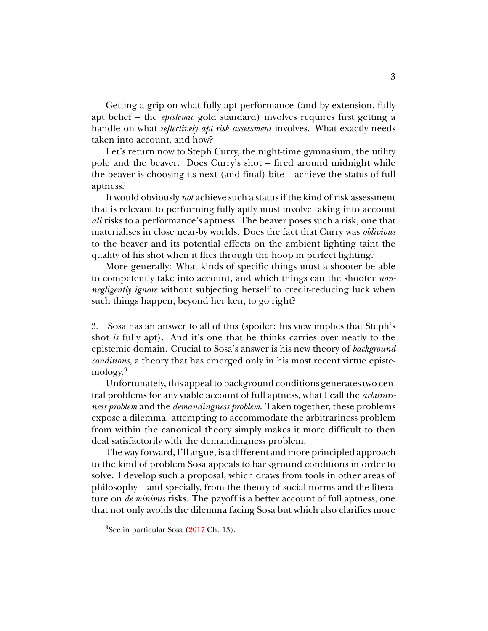Getting a grip on what fully apt performance (and by extension, fully apt belief – the *epistemic* gold standard) involves requires first getting a handle on what *reflectively apt risk assessment* involves. What exactly needs taken into account, and how?

Let's return now to Steph Curry, the night-time gymnasium, the utility pole and the beaver. Does Curry's shot – fired around midnight while the beaver is choosing its next (and final) bite – achieve the status of full aptness?

It would obviously *not* achieve such a status if the kind of risk assessment that is relevant to performing fully aptly must involve taking into account *all* risks to a performance's aptness. The beaver poses such a risk, one that materialises in close near-by worlds. Does the fact that Curry was *oblivious* to the beaver and its potential effects on the ambient lighting taint the quality of his shot when it flies through the hoop in perfect lighting?

More generally: What kinds of specific things must a shooter be able to competently take into account, and which things can the shooter *nonnegligently ignore* without subjecting herself to credit-reducing luck when such things happen, beyond her ken, to go right?

3. Sosa has an answer to all of this (spoiler: his view implies that Steph's shot *is* fully apt). And it's one that he thinks carries over neatly to the epistemic domain. Crucial to Sosa's answer is his new theory of *background conditions*, a theory that has emerged only in his most recent virtue epistemology.[3](#page-3-0)

Unfortunately, this appeal to background conditions generates two central problems for any viable account of full aptness, what I call the *arbitrariness problem* and the *demandingness problem*. Taken together, these problems expose a dilemma: attempting to accommodate the arbitrariness problem from within the canonical theory simply makes it more difficult to then deal satisfactorily with the demandingness problem.

The way forward, I'll argue, is a different and more principled approach to the kind of problem Sosa appeals to background conditions in order to solve. I develop such a proposal, which draws from tools in other areas of philosophy – and specially, from the theory of social norms and the literature on *de minimis* risks. The payoff is a better account of full aptness, one that not only avoids the dilemma facing Sosa but which also clarifies more

<span id="page-3-0"></span> ${}^{3}$ Seein particular Sosa ([2017](#page-25-1) Ch. 13).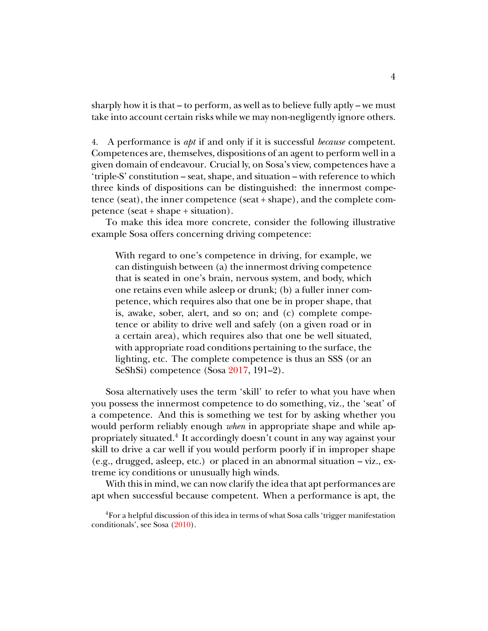sharply how it is that – to perform, as well as to believe fully aptly – we must take into account certain risks while we may non-negligently ignore others.

4. A performance is *apt* if and only if it is successful *because* competent. Competences are, themselves, dispositions of an agent to perform well in a given domain of endeavour. Crucial ly, on Sosa's view, competences have a 'triple-S' constitution – seat, shape, and situation – with reference to which three kinds of dispositions can be distinguished: the innermost competence (seat), the inner competence (seat + shape), and the complete competence (seat + shape + situation).

To make this idea more concrete, consider the following illustrative example Sosa offers concerning driving competence:

With regard to one's competence in driving, for example, we can distinguish between (a) the innermost driving competence that is seated in one's brain, nervous system, and body, which one retains even while asleep or drunk; (b) a fuller inner competence, which requires also that one be in proper shape, that is, awake, sober, alert, and so on; and (c) complete competence or ability to drive well and safely (on a given road or in a certain area), which requires also that one be well situated, with appropriate road conditions pertaining to the surface, the lighting, etc. The complete competence is thus an SSS (or an SeShSi) competence (Sosa [2017](#page-25-1), 191–2).

Sosa alternatively uses the term 'skill' to refer to what you have when you possess the innermost competence to do something, viz., the 'seat' of a competence. And this is something we test for by asking whether you would perform reliably enough *when* in appropriate shape and while appropriately situated. $^4$  $^4$  It accordingly doesn't count in any way against your skill to drive a car well if you would perform poorly if in improper shape (e.g., drugged, asleep, etc.) or placed in an abnormal situation – viz., extreme icy conditions or unusually high winds.

With this in mind, we can now clarify the idea that apt performances are apt when successful because competent. When a performance is apt, the

<span id="page-4-0"></span><sup>4</sup>For a helpful discussion of this idea in terms of what Sosa calls 'trigger manifestation conditionals', see Sosa([2010](#page-25-4)).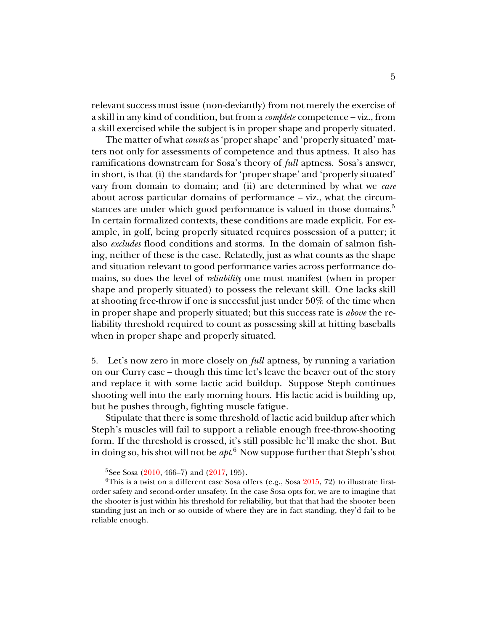relevant success must issue (non-deviantly) from not merely the exercise of a skill in any kind of condition, but from a *complete* competence – viz., from a skill exercised while the subject is in proper shape and properly situated.

The matter of what *counts* as 'proper shape' and 'properly situated' matters not only for assessments of competence and thus aptness. It also has ramifications downstream for Sosa's theory of *full* aptness. Sosa's answer, in short, is that (i) the standards for 'proper shape' and 'properly situated' vary from domain to domain; and (ii) are determined by what we *care* about across particular domains of performance – viz., what the circum-stances are under which good performance is valued in those domains.<sup>[5](#page-5-0)</sup> In certain formalized contexts, these conditions are made explicit. For example, in golf, being properly situated requires possession of a putter; it also *excludes* flood conditions and storms. In the domain of salmon fishing, neither of these is the case. Relatedly, just as what counts as the shape and situation relevant to good performance varies across performance domains, so does the level of *reliability* one must manifest (when in proper shape and properly situated) to possess the relevant skill. One lacks skill at shooting free-throw if one is successful just under 50% of the time when in proper shape and properly situated; but this success rate is *above* the reliability threshold required to count as possessing skill at hitting baseballs when in proper shape and properly situated.

5. Let's now zero in more closely on *full* aptness, by running a variation on our Curry case – though this time let's leave the beaver out of the story and replace it with some lactic acid buildup. Suppose Steph continues shooting well into the early morning hours. His lactic acid is building up, but he pushes through, fighting muscle fatigue.

Stipulate that there is some threshold of lactic acid buildup after which Steph's muscles will fail to support a reliable enough free-throw-shooting form. If the threshold is crossed, it's still possible he'll make the shot. But in doing so, his shot will not be *apt*. [6](#page-5-1) Now suppose further that Steph's shot

<span id="page-5-1"></span><span id="page-5-0"></span><sup>5</sup>See Sosa [\(2010,](#page-25-4) 466–7) and [\(2017,](#page-25-1) 195).

 $6$ This is a twist on a different case Sosa offers (e.g., Sosa  $2015$ , 72) to illustrate firstorder safety and second-order unsafety. In the case Sosa opts for, we are to imagine that the shooter is just within his threshold for reliability, but that that had the shooter been standing just an inch or so outside of where they are in fact standing, they'd fail to be reliable enough.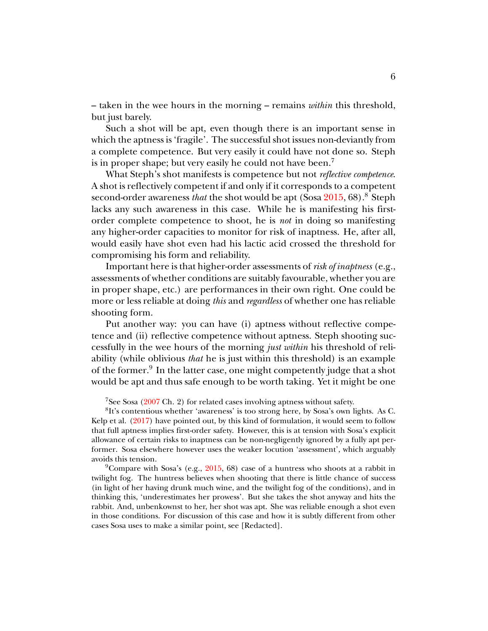– taken in the wee hours in the morning – remains *within* this threshold, but just barely.

Such a shot will be apt, even though there is an important sense in which the aptness is 'fragile'. The successful shot issues non-deviantly from a complete competence. But very easily it could have not done so. Steph is in proper shape; but very easily he could not have been.<sup>[7](#page-6-0)</sup>

What Steph's shot manifests is competence but not *reflective competence*. A shot is reflectively competent if and only if it corresponds to a competent second-order awareness *that* the shot would be apt (Sosa [2015](#page-25-0), 6[8](#page-6-1)).<sup>8</sup> Steph lacks any such awareness in this case. While he is manifesting his firstorder complete competence to shoot, he is *not* in doing so manifesting any higher-order capacities to monitor for risk of inaptness. He, after all, would easily have shot even had his lactic acid crossed the threshold for compromising his form and reliability.

Important here is that higher-order assessments of *risk of inaptness* (e.g., assessments of whether conditions are suitably favourable, whether you are in proper shape, etc.) are performances in their own right. One could be more or less reliable at doing *this* and *regardless* of whether one has reliable shooting form.

Put another way: you can have (i) aptness without reflective competence and (ii) reflective competence without aptness. Steph shooting successfully in the wee hours of the morning *just within* his threshold of reliability (while oblivious *that* he is just within this threshold) is an example of the former. $^9$  $^9$  In the latter case, one might competently judge that a shot would be apt and thus safe enough to be worth taking. Yet it might be one

<span id="page-6-1"></span><span id="page-6-0"></span><sup>7</sup>See Sosa [\(2007](#page-24-0) Ch. 2) for related cases involving aptness without safety.

<sup>8</sup>It's contentious whether 'awareness' is too strong here, by Sosa's own lights. As C. Kelp et al.([2017\)](#page-24-1) have pointed out, by this kind of formulation, it would seem to follow that full aptness implies first-order safety. However, this is at tension with Sosa's explicit allowance of certain risks to inaptness can be non-negligently ignored by a fully apt performer. Sosa elsewhere however uses the weaker locution 'assessment', which arguably avoids this tension.

<span id="page-6-2"></span><sup>9</sup>Compare with Sosa's (e.g., [2015](#page-25-0), 68) case of a huntress who shoots at a rabbit in twilight fog. The huntress believes when shooting that there is little chance of success (in light of her having drunk much wine, and the twilight fog of the conditions), and in thinking this, 'underestimates her prowess'. But she takes the shot anyway and hits the rabbit. And, unbenkownst to her, her shot was apt. She was reliable enough a shot even in those conditions. For discussion of this case and how it is subtly different from other cases Sosa uses to make a similar point, see [Redacted].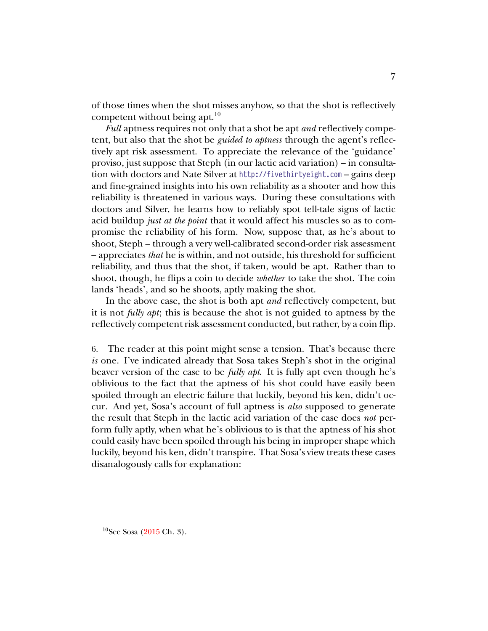of those times when the shot misses anyhow, so that the shot is reflectively competent without being apt.<sup>[10](#page-7-0)</sup>

*Full* aptness requires not only that a shot be apt *and* reflectively competent, but also that the shot be *guided to aptness* through the agent's reflectively apt risk assessment. To appreciate the relevance of the 'guidance' proviso, just suppose that Steph (in our lactic acid variation) – in consultation with doctors and Nate Silver at <http://fivethirtyeight.com> – gains deep and fine-grained insights into his own reliability as a shooter and how this reliability is threatened in various ways. During these consultations with doctors and Silver, he learns how to reliably spot tell-tale signs of lactic acid buildup *just at the point* that it would affect his muscles so as to compromise the reliability of his form. Now, suppose that, as he's about to shoot, Steph – through a very well-calibrated second-order risk assessment – appreciates *that* he is within, and not outside, his threshold for sufficient reliability, and thus that the shot, if taken, would be apt. Rather than to shoot, though, he flips a coin to decide *whether* to take the shot. The coin lands 'heads', and so he shoots, aptly making the shot.

In the above case, the shot is both apt *and* reflectively competent, but it is not *fully apt*; this is because the shot is not guided to aptness by the reflectively competent risk assessment conducted, but rather, by a coin flip.

<span id="page-7-0"></span>6. The reader at this point might sense a tension. That's because there *is* one. I've indicated already that Sosa takes Steph's shot in the original beaver version of the case to be *fully apt*. It is fully apt even though he's oblivious to the fact that the aptness of his shot could have easily been spoiled through an electric failure that luckily, beyond his ken, didn't occur. And yet, Sosa's account of full aptness is *also* supposed to generate the result that Steph in the lactic acid variation of the case does *not* perform fully aptly, when what he's oblivious to is that the aptness of his shot could easily have been spoiled through his being in improper shape which luckily, beyond his ken, didn't transpire. That Sosa's view treats these cases disanalogously calls for explanation: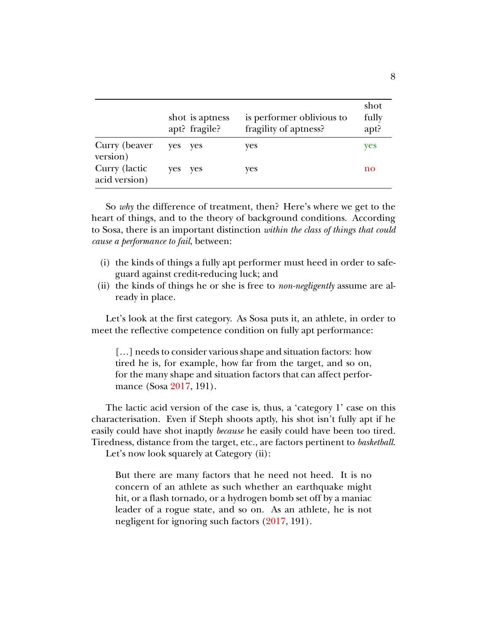|                                | shot is aptness<br>apt? fragile? | is performer oblivious to<br>fragility of aptness? | shot<br>fully<br>apt? |
|--------------------------------|----------------------------------|----------------------------------------------------|-----------------------|
| Curry (beaver<br>version)      | yes yes                          | yes                                                | ves                   |
| Curry (lactic<br>acid version) | yes yes                          | yes                                                | no                    |

So *why* the difference of treatment, then? Here's where we get to the heart of things, and to the theory of background conditions. According to Sosa, there is an important distinction *within the class of things that could cause a performance to fail*, between:

- (i) the kinds of things a fully apt performer must heed in order to safeguard against credit-reducing luck; and
- (ii) the kinds of things he or she is free to *non-negligently* assume are already in place.

Let's look at the first category. As Sosa puts it, an athlete, in order to meet the reflective competence condition on fully apt performance:

[…] needs to consider various shape and situation factors: how tired he is, for example, how far from the target, and so on, for the many shape and situation factors that can affect performance (Sosa [2017,](#page-25-1) 191).

The lactic acid version of the case is, thus, a 'category 1' case on this characterisation. Even if Steph shoots aptly, his shot isn't fully apt if he easily could have shot inaptly *because* he easily could have been too tired. Tiredness, distance from the target, etc., are factors pertinent to *basketball*. Let's now look squarely at Category (ii):

But there are many factors that he need not heed. It is no concern of an athlete as such whether an earthquake might hit, or a flash tornado, or a hydrogen bomb set off by a maniac leader of a rogue state, and so on. As an athlete, he is not

negligent for ignoring such factors([2017](#page-25-1), 191).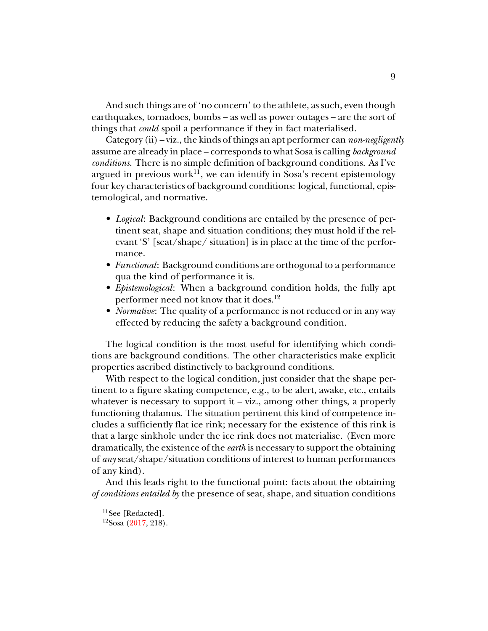And such things are of 'no concern' to the athlete, as such, even though earthquakes, tornadoes, bombs – as well as power outages – are the sort of things that *could* spoil a performance if they in fact materialised.

Category (ii) – viz., the kinds of things an apt performer can *non-negligently* assume are already in place – corresponds to what Sosa is calling *background conditions*. There is no simple definition of background conditions. As I've argued in previous work<sup>[11](#page-9-0)</sup>, we can identify in Sosa's recent epistemology four key characteristics of background conditions: logical, functional, epistemological, and normative.

- *Logical*: Background conditions are entailed by the presence of pertinent seat, shape and situation conditions; they must hold if the relevant 'S' [seat/shape/ situation] is in place at the time of the performance.
- *Functional*: Background conditions are orthogonal to a performance qua the kind of performance it is.
- *Epistemological*: When a background condition holds, the fully apt performer need not know that it does.<sup>[12](#page-9-1)</sup>
- *Normative*: The quality of a performance is not reduced or in any way effected by reducing the safety a background condition.

The logical condition is the most useful for identifying which conditions are background conditions. The other characteristics make explicit properties ascribed distinctively to background conditions.

With respect to the logical condition, just consider that the shape pertinent to a figure skating competence, e.g., to be alert, awake, etc., entails whatever is necessary to support it – viz., among other things, a properly functioning thalamus. The situation pertinent this kind of competence includes a sufficiently flat ice rink; necessary for the existence of this rink is that a large sinkhole under the ice rink does not materialise. (Even more dramatically, the existence of the *earth* is necessary to support the obtaining of *any* seat/shape/situation conditions of interest to human performances of any kind).

And this leads right to the functional point: facts about the obtaining *of conditions entailed by* the presence of seat, shape, and situation conditions

<span id="page-9-0"></span><sup>11</sup>See [Redacted].

<span id="page-9-1"></span> $12$ Sosa [\(2017](#page-25-1), 218).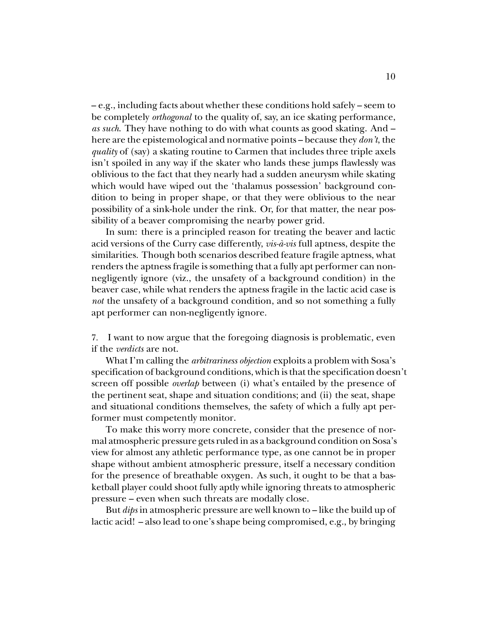– e.g., including facts about whether these conditions hold safely – seem to be completely *orthogonal* to the quality of, say, an ice skating performance, *as such*. They have nothing to do with what counts as good skating. And – here are the epistemological and normative points – because they *don't*, the *quality* of (say) a skating routine to Carmen that includes three triple axels isn't spoiled in any way if the skater who lands these jumps flawlessly was oblivious to the fact that they nearly had a sudden aneurysm while skating which would have wiped out the 'thalamus possession' background condition to being in proper shape, or that they were oblivious to the near possibility of a sink-hole under the rink. Or, for that matter, the near possibility of a beaver compromising the nearby power grid.

In sum: there is a principled reason for treating the beaver and lactic acid versions of the Curry case differently, *vis-à-vis* full aptness, despite the similarities. Though both scenarios described feature fragile aptness, what renders the aptness fragile is something that a fully apt performer can nonnegligently ignore (viz., the unsafety of a background condition) in the beaver case, while what renders the aptness fragile in the lactic acid case is *not* the unsafety of a background condition, and so not something a fully apt performer can non-negligently ignore.

7. I want to now argue that the foregoing diagnosis is problematic, even if the *verdicts* are not.

What I'm calling the *arbitrariness objection* exploits a problem with Sosa's specification of background conditions, which is that the specification doesn't screen off possible *overlap* between (i) what's entailed by the presence of the pertinent seat, shape and situation conditions; and (ii) the seat, shape and situational conditions themselves, the safety of which a fully apt performer must competently monitor.

To make this worry more concrete, consider that the presence of normal atmospheric pressure gets ruled in as a background condition on Sosa's view for almost any athletic performance type, as one cannot be in proper shape without ambient atmospheric pressure, itself a necessary condition for the presence of breathable oxygen. As such, it ought to be that a basketball player could shoot fully aptly while ignoring threats to atmospheric pressure – even when such threats are modally close.

But *dips* in atmospheric pressure are well known to – like the build up of lactic acid! – also lead to one's shape being compromised, e.g., by bringing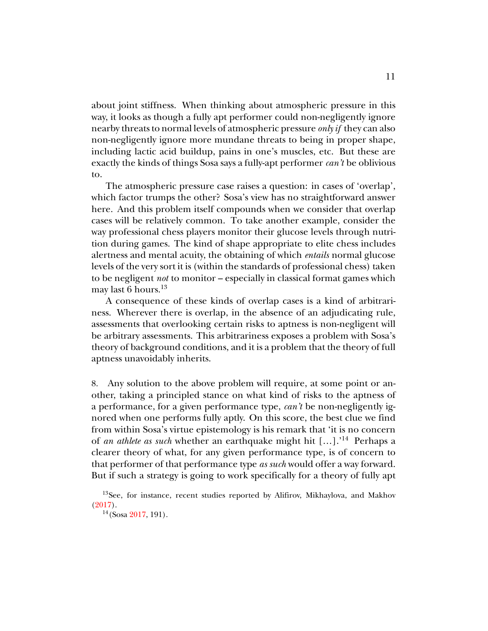about joint stiffness. When thinking about atmospheric pressure in this way, it looks as though a fully apt performer could non-negligently ignore nearby threats to normal levels of atmospheric pressure *only if* they can also non-negligently ignore more mundane threats to being in proper shape, including lactic acid buildup, pains in one's muscles, etc. But these are exactly the kinds of things Sosa says a fully-apt performer *can't* be oblivious to.

The atmospheric pressure case raises a question: in cases of 'overlap', which factor trumps the other? Sosa's view has no straightforward answer here. And this problem itself compounds when we consider that overlap cases will be relatively common. To take another example, consider the way professional chess players monitor their glucose levels through nutrition during games. The kind of shape appropriate to elite chess includes alertness and mental acuity, the obtaining of which *entails* normal glucose levels of the very sort it is (within the standards of professional chess) taken to be negligent *not* to monitor – especially in classical format games which may last 6 hours.[13](#page-11-0)

A consequence of these kinds of overlap cases is a kind of arbitrariness. Wherever there is overlap, in the absence of an adjudicating rule, assessments that overlooking certain risks to aptness is non-negligent will be arbitrary assessments. This arbitrariness exposes a problem with Sosa's theory of background conditions, and it is a problem that the theory of full aptness unavoidably inherits.

8. Any solution to the above problem will require, at some point or another, taking a principled stance on what kind of risks to the aptness of a performance, for a given performance type, *can't* be non-negligently ignored when one performs fully aptly. On this score, the best clue we find from within Sosa's virtue epistemology is his remark that 'it is no concern of *an athlete as such* whether an earthquake might hit […].'[14](#page-11-1) Perhaps a clearer theory of what, for any given performance type, is of concern to that performer of that performance type *as such* would offer a way forward. But if such a strategy is going to work specifically for a theory of fully apt

<span id="page-11-0"></span><sup>13</sup>See, for instance, recent studies reported by Alifirov, Mikhaylova, and Makhov [\(2017\)](#page-23-4).

<span id="page-11-1"></span> $14$ (Sosa [2017](#page-25-1), 191).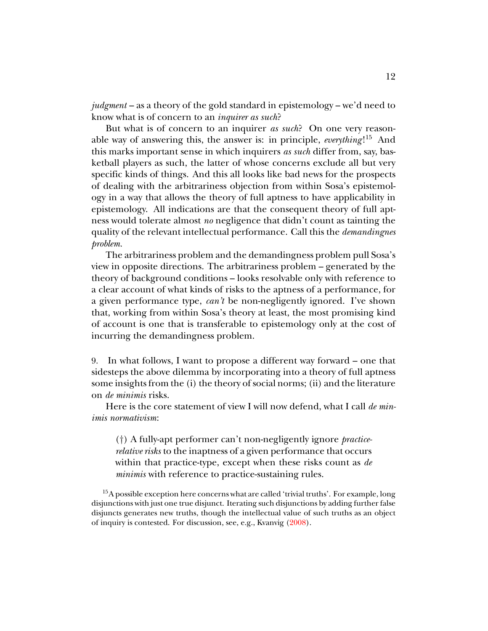*judgment* – as a theory of the gold standard in epistemology – we'd need to know what is of concern to an *inquirer as such*?

But what is of concern to an inquirer *as such*? On one very reasonable way of answering this, the answer is: in principle, *everything*!<sup>[15](#page-12-0)</sup> And this marks important sense in which inquirers *as such* differ from, say, basketball players as such, the latter of whose concerns exclude all but very specific kinds of things. And this all looks like bad news for the prospects of dealing with the arbitrariness objection from within Sosa's epistemology in a way that allows the theory of full aptness to have applicability in epistemology. All indications are that the consequent theory of full aptness would tolerate almost *no* negligence that didn't count as tainting the quality of the relevant intellectual performance. Call this the *demandingnes problem.*

The arbitrariness problem and the demandingness problem pull Sosa's view in opposite directions. The arbitrariness problem – generated by the theory of background conditions – looks resolvable only with reference to a clear account of what kinds of risks to the aptness of a performance, for a given performance type, *can't* be non-negligently ignored. I've shown that, working from within Sosa's theory at least, the most promising kind of account is one that is transferable to epistemology only at the cost of incurring the demandingness problem.

9. In what follows, I want to propose a different way forward – one that sidesteps the above dilemma by incorporating into a theory of full aptness some insights from the (i) the theory of social norms; (ii) and the literature on *de minimis* risks.

Here is the core statement of view I will now defend, what I call *de minimis normativism*:

(*†*) A fully-apt performer can't non-negligently ignore *practicerelative risks* to the inaptness of a given performance that occurs within that practice-type, except when these risks count as *de minimis* with reference to practice-sustaining rules.

<span id="page-12-0"></span> $15A$  possible exception here concerns what are called 'trivial truths'. For example, long disjunctions with just one true disjunct. Iterating such disjunctions by adding further false disjuncts generates new truths, though the intellectual value of such truths as an object of inquiry is contested. For discussion, see, e.g., Kvanvig [\(2008](#page-24-2)).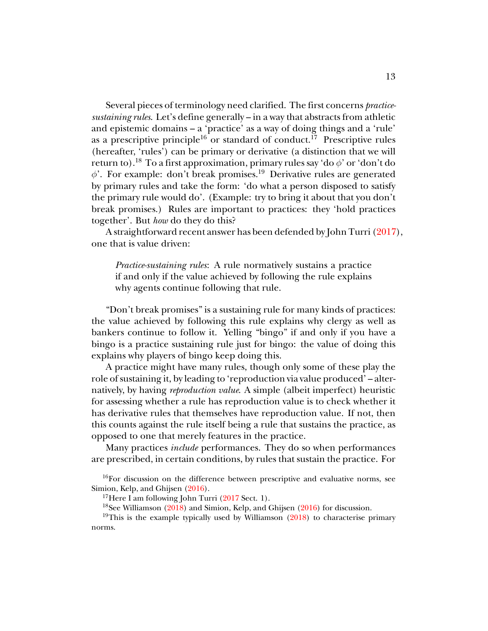Several pieces of terminology need clarified. The first concerns *practicesustaining rules*. Let's define generally – in a way that abstracts from athletic and epistemic domains – a 'practice' as a way of doing things and a 'rule' as a prescriptive principle<sup>[16](#page-13-0)</sup> or standard of conduct.<sup>[17](#page-13-1)</sup> Prescriptive rules (hereafter, 'rules') can be primary or derivative (a distinction that we will return to).<sup>[18](#page-13-2)</sup> To a first approximation, primary rules say 'do  $\phi$ ' or 'don't do  $\phi'$ . For example: don't break promises.<sup>[19](#page-13-3)</sup> Derivative rules are generated by primary rules and take the form: 'do what a person disposed to satisfy the primary rule would do'. (Example: try to bring it about that you don't break promises.) Rules are important to practices: they 'hold practices together'. But *how* do they do this?

A straightforward recent answer has been defended by John Turri [\(2017](#page-25-5)), one that is value driven:

*Practice-sustaining rules*: A rule normatively sustains a practice if and only if the value achieved by following the rule explains why agents continue following that rule.

"Don't break promises" is a sustaining rule for many kinds of practices: the value achieved by following this rule explains why clergy as well as bankers continue to follow it. Yelling "bingo" if and only if you have a bingo is a practice sustaining rule just for bingo: the value of doing this explains why players of bingo keep doing this.

A practice might have many rules, though only some of these play the role of sustaining it, by leading to 'reproduction via value produced' – alternatively, by having *reproduction value*. A simple (albeit imperfect) heuristic for assessing whether a rule has reproduction value is to check whether it has derivative rules that themselves have reproduction value. If not, then this counts against the rule itself being a rule that sustains the practice, as opposed to one that merely features in the practice.

Many practices *include* performances. They do so when performances are prescribed, in certain conditions, by rules that sustain the practice. For

<span id="page-13-0"></span> $16$ For discussion on the difference between prescriptive and evaluative norms, see Simion, Kelp, and Ghijsen([2016](#page-24-3)).

<span id="page-13-1"></span><sup>&</sup>lt;sup>17</sup>HereI am following John Turri  $(2017 \text{ Sect. } 1)$  $(2017 \text{ Sect. } 1)$  $(2017 \text{ Sect. } 1)$ .

<span id="page-13-3"></span><span id="page-13-2"></span><sup>&</sup>lt;sup>18</sup>SeeWilliamson ([2018](#page-25-6)) and Simion, Kelp, and Ghijsen [\(2016\)](#page-24-3) for discussion.

<sup>&</sup>lt;sup>19</sup>Thisis the example typically used by Williamson  $(2018)$  $(2018)$  to characterise primary norms.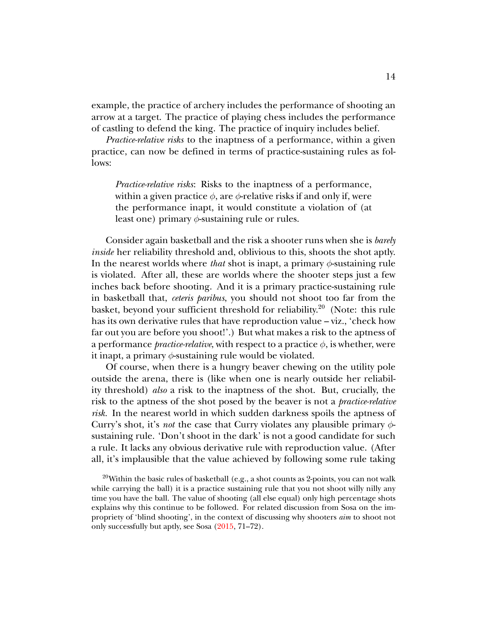example, the practice of archery includes the performance of shooting an arrow at a target. The practice of playing chess includes the performance of castling to defend the king. The practice of inquiry includes belief.

*Practice-relative risks* to the inaptness of a performance, within a given practice, can now be defined in terms of practice-sustaining rules as follows:

*Practice-relative risks*: Risks to the inaptness of a performance, within a given practice  $\phi$ , are  $\phi$ -relative risks if and only if, were the performance inapt, it would constitute a violation of (at least one) primary *ϕ*-sustaining rule or rules.

Consider again basketball and the risk a shooter runs when she is *barely inside* her reliability threshold and, oblivious to this, shoots the shot aptly. In the nearest worlds where *that* shot is inapt, a primary  $\phi$ -sustaining rule is violated. After all, these are worlds where the shooter steps just a few inches back before shooting. And it is a primary practice-sustaining rule in basketball that, *ceteris paribus*, you should not shoot too far from the basket, beyond your sufficient threshold for reliability.<sup>[20](#page-14-0)</sup> (Note: this rule has its own derivative rules that have reproduction value – viz., 'check how far out you are before you shoot!'.) But what makes a risk to the aptness of a performance *practice-relative*, with respect to a practice  $\phi$ , is whether, were it inapt, a primary *ϕ*-sustaining rule would be violated.

Of course, when there is a hungry beaver chewing on the utility pole outside the arena, there is (like when one is nearly outside her reliability threshold) *also* a risk to the inaptness of the shot. But, crucially, the risk to the aptness of the shot posed by the beaver is not a *practice-relative risk.* In the nearest world in which sudden darkness spoils the aptness of Curry's shot, it's *not* the case that Curry violates any plausible primary *ϕ*sustaining rule. 'Don't shoot in the dark' is not a good candidate for such a rule. It lacks any obvious derivative rule with reproduction value. (After all, it's implausible that the value achieved by following some rule taking

<span id="page-14-0"></span> $20$ Within the basic rules of basketball (e.g., a shot counts as 2-points, you can not walk while carrying the ball) it is a practice sustaining rule that you not shoot willy nilly any time you have the ball. The value of shooting (all else equal) only high percentage shots explains why this continue to be followed. For related discussion from Sosa on the impropriety of 'blind shooting', in the context of discussing why shooters *aim* to shoot not only successfully but aptly, see Sosa [\(2015](#page-25-0), 71–72).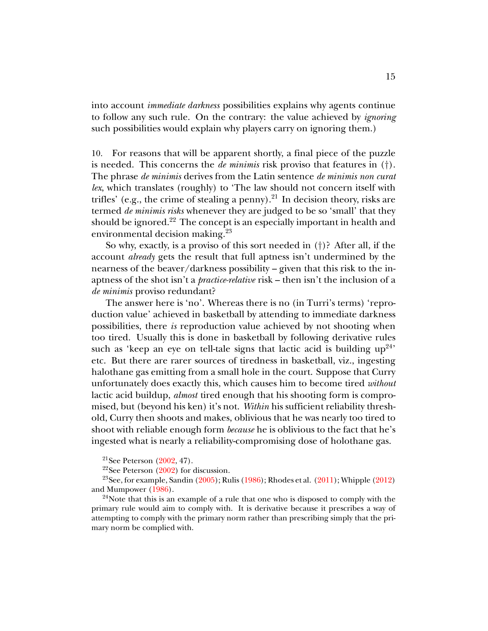into account *immediate darkness* possibilities explains why agents continue to follow any such rule. On the contrary: the value achieved by *ignoring* such possibilities would explain why players carry on ignoring them.)

10. For reasons that will be apparent shortly, a final piece of the puzzle is needed. This concerns the *de minimis* risk proviso that features in (*†*). The phrase *de minimis* derives from the Latin sentence *de minimis non curat lex*, which translates (roughly) to 'The law should not concern itself with trifles' (e.g., the crime of stealing a penny).<sup>[21](#page-15-0)</sup> In decision theory, risks are termed *de minimis risks* whenever they are judged to be so 'small' that they should be ignored.<sup>[22](#page-15-1)</sup> The concept is an especially important in health and environmental decision making.[23](#page-15-2)

So why, exactly, is a proviso of this sort needed in (*†*)? After all, if the account *already* gets the result that full aptness isn't undermined by the nearness of the beaver/darkness possibility – given that this risk to the inaptness of the shot isn't a *practice-relative* risk – then isn't the inclusion of a *de minimis* proviso redundant?

The answer here is 'no'. Whereas there is no (in Turri's terms) 'reproduction value' achieved in basketball by attending to immediate darkness possibilities, there *is* reproduction value achieved by not shooting when too tired. Usually this is done in basketball by following derivative rules such as 'keep an eye on tell-tale signs that lactic acid is building  $up^{24}$  $up^{24}$  $up^{24}$ ' etc. But there are rarer sources of tiredness in basketball, viz., ingesting halothane gas emitting from a small hole in the court. Suppose that Curry unfortunately does exactly this, which causes him to become tired *without* lactic acid buildup, *almost* tired enough that his shooting form is compromised, but (beyond his ken) it's not. *Within* his sufficient reliability threshold, Curry then shoots and makes, oblivious that he was nearly too tired to shoot with reliable enough form *because* he is oblivious to the fact that he's ingested what is nearly a reliability-compromising dose of holothane gas.

<span id="page-15-0"></span><sup>21</sup>See Peterson  $(2002, 47)$ .

<span id="page-15-2"></span><span id="page-15-1"></span><sup>22</sup>See Peterson  $(2002)$  for discussion.

<sup>23</sup>See,for example, Sandin ([2005\)](#page-24-5); Rulis [\(1986](#page-24-6)); Rhodes et al. [\(2011\)](#page-24-7); Whipple [\(2012](#page-25-7)) and Mumpower([1986](#page-24-8)).

<span id="page-15-3"></span> $24$ Note that this is an example of a rule that one who is disposed to comply with the primary rule would aim to comply with. It is derivative because it prescribes a way of attempting to comply with the primary norm rather than prescribing simply that the primary norm be complied with.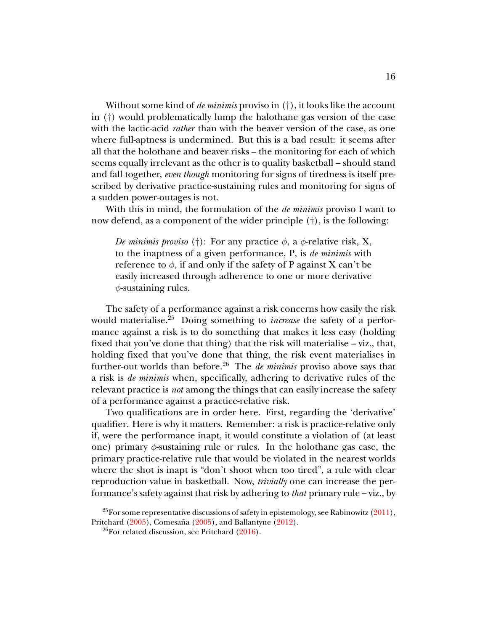Without some kind of *de minimis* proviso in (*†*), it looks like the account in (*†*) would problematically lump the halothane gas version of the case with the lactic-acid *rather* than with the beaver version of the case, as one where full-aptness is undermined. But this is a bad result: it seems after all that the holothane and beaver risks – the monitoring for each of which seems equally irrelevant as the other is to quality basketball – should stand and fall together, *even though* monitoring for signs of tiredness is itself prescribed by derivative practice-sustaining rules and monitoring for signs of a sudden power-outages is not.

With this in mind, the formulation of the *de minimis* proviso I want to now defend, as a component of the wider principle (*†*), is the following:

*De minimis proviso* (*†*): For any practice *ϕ*, a *ϕ*-relative risk, X, to the inaptness of a given performance, P, is *de minimis* with reference to  $\phi$ , if and only if the safety of P against X can't be easily increased through adherence to one or more derivative *ϕ*-sustaining rules.

The safety of a performance against a risk concerns how easily the risk would materialise.<sup>[25](#page-16-0)</sup> Doing something to *increase* the safety of a performance against a risk is to do something that makes it less easy (holding fixed that you've done that thing) that the risk will materialise – viz., that, holding fixed that you've done that thing, the risk event materialises in further-out worlds than before.[26](#page-16-1) The *de minimis* proviso above says that a risk is *de minimis* when, specifically, adhering to derivative rules of the relevant practice is *not* among the things that can easily increase the safety of a performance against a practice-relative risk.

Two qualifications are in order here. First, regarding the 'derivative' qualifier. Here is why it matters. Remember: a risk is practice-relative only if, were the performance inapt, it would constitute a violation of (at least one) primary  $\phi$ -sustaining rule or rules. In the holothane gas case, the primary practice-relative rule that would be violated in the nearest worlds where the shot is inapt is "don't shoot when too tired", a rule with clear reproduction value in basketball. Now, *trivially* one can increase the performance's safety against that risk by adhering to *that* primary rule – viz., by

<span id="page-16-0"></span><sup>&</sup>lt;sup>25</sup>Forsome representative discussions of safety in epistemology, see Rabinowitz  $(2011)$  $(2011)$  $(2011)$ , Pritchard([2005](#page-24-10)), Comesaña([2005\)](#page-23-5), and Ballantyne [\(2012\)](#page-23-6).

<span id="page-16-1"></span> $^{26}$ For related discussion, see Pritchard [\(2016\)](#page-24-11).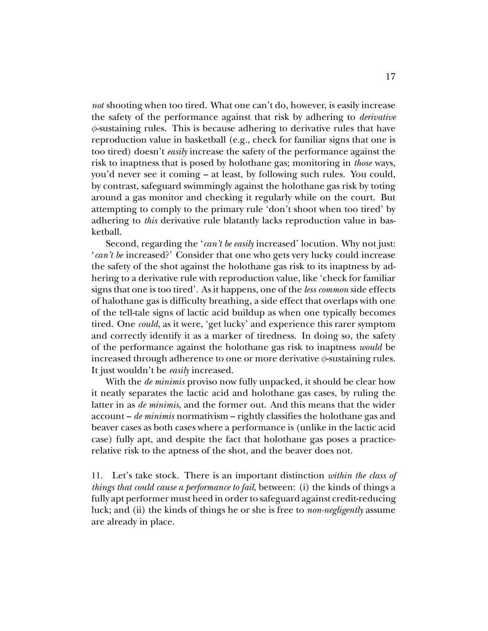*not* shooting when too tired. What one can't do, however, is easily increase the safety of the performance against that risk by adhering to *derivative ϕ*-sustaining rules. This is because adhering to derivative rules that have reproduction value in basketball (e.g., check for familiar signs that one is too tired) doesn't *easily* increase the safety of the performance against the risk to inaptness that is posed by holothane gas; monitoring in *those* ways, you'd never see it coming – at least, by following such rules. You could, by contrast, safeguard swimmingly against the holothane gas risk by toting around a gas monitor and checking it regularly while on the court. But attempting to comply to the primary rule 'don't shoot when too tired' by adhering to *this* derivative rule blatantly lacks reproduction value in basketball.

Second, regarding the '*can't be easily* increased' locution. Why not just: '*can't be* increased?' Consider that one who gets very lucky could increase the safety of the shot against the holothane gas risk to its inaptness by adhering to a derivative rule with reproduction value, like 'check for familiar signs that one is too tired'. As it happens, one of the *less common* side effects of halothane gas is difficulty breathing, a side effect that overlaps with one of the tell-tale signs of lactic acid buildup as when one typically becomes tired. One *could*, as it were, 'get lucky' and experience this rarer symptom and correctly identify it as a marker of tiredness. In doing so, the safety of the performance against the holothane gas risk to inaptness *would* be increased through adherence to one or more derivative *ϕ*-sustaining rules. It just wouldn't be *easily* increased.

With the *de minimis* proviso now fully unpacked, it should be clear how it neatly separates the lactic acid and holothane gas cases, by ruling the latter in as *de minimis*, and the former out. And this means that the wider account – *de minimis* normativism – rightly classifies the holothane gas and beaver cases as both cases where a performance is (unlike in the lactic acid case) fully apt, and despite the fact that holothane gas poses a practicerelative risk to the aptness of the shot, and the beaver does not.

11. Let's take stock. There is an important distinction *within the class of things that could cause a performance to fail*, between: (i) the kinds of things a fully apt performer must heed in order to safeguard against credit-reducing luck; and (ii) the kinds of things he or she is free to *non-negligently* assume are already in place.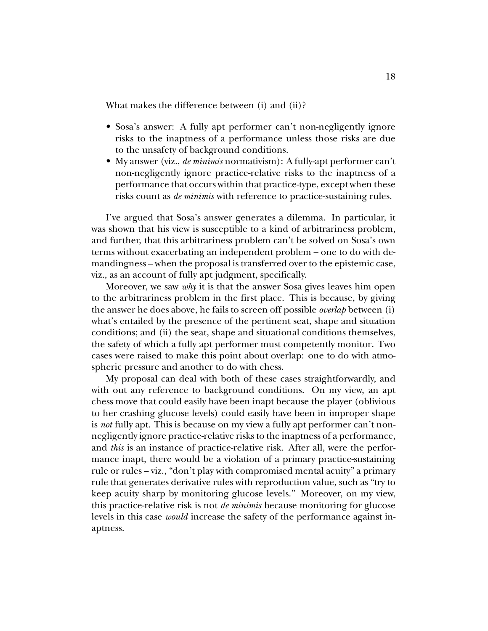What makes the difference between (i) and (ii)?

- Sosa's answer: A fully apt performer can't non-negligently ignore risks to the inaptness of a performance unless those risks are due to the unsafety of background conditions.
- My answer (viz., *de minimis* normativism): A fully-apt performer can't non-negligently ignore practice-relative risks to the inaptness of a performance that occurs within that practice-type, except when these risks count as *de minimis* with reference to practice-sustaining rules.

I've argued that Sosa's answer generates a dilemma. In particular, it was shown that his view is susceptible to a kind of arbitrariness problem, and further, that this arbitrariness problem can't be solved on Sosa's own terms without exacerbating an independent problem – one to do with demandingness – when the proposal is transferred over to the epistemic case, viz., as an account of fully apt judgment, specifically.

Moreover, we saw *why* it is that the answer Sosa gives leaves him open to the arbitrariness problem in the first place. This is because, by giving the answer he does above, he fails to screen off possible *overlap* between (i) what's entailed by the presence of the pertinent seat, shape and situation conditions; and (ii) the seat, shape and situational conditions themselves, the safety of which a fully apt performer must competently monitor. Two cases were raised to make this point about overlap: one to do with atmospheric pressure and another to do with chess.

My proposal can deal with both of these cases straightforwardly, and with out any reference to background conditions. On my view, an apt chess move that could easily have been inapt because the player (oblivious to her crashing glucose levels) could easily have been in improper shape is *not* fully apt. This is because on my view a fully apt performer can't nonnegligently ignore practice-relative risks to the inaptness of a performance, and *this* is an instance of practice-relative risk. After all, were the performance inapt, there would be a violation of a primary practice-sustaining rule or rules – viz., "don't play with compromised mental acuity" a primary rule that generates derivative rules with reproduction value, such as "try to keep acuity sharp by monitoring glucose levels." Moreover, on my view, this practice-relative risk is not *de minimis* because monitoring for glucose levels in this case *would* increase the safety of the performance against inaptness.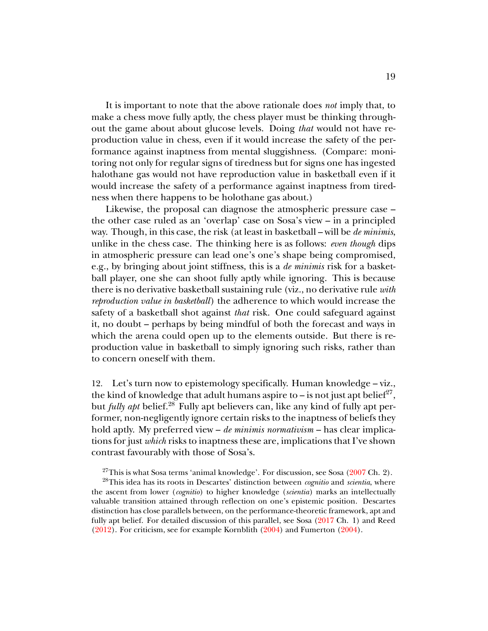It is important to note that the above rationale does *not* imply that, to make a chess move fully aptly, the chess player must be thinking throughout the game about about glucose levels. Doing *that* would not have reproduction value in chess, even if it would increase the safety of the performance against inaptness from mental sluggishness. (Compare: monitoring not only for regular signs of tiredness but for signs one has ingested halothane gas would not have reproduction value in basketball even if it would increase the safety of a performance against inaptness from tiredness when there happens to be holothane gas about.)

Likewise, the proposal can diagnose the atmospheric pressure case – the other case ruled as an 'overlap' case on Sosa's view – in a principled way. Though, in this case, the risk (at least in basketball – will be *de minimis*, unlike in the chess case. The thinking here is as follows: *even though* dips in atmospheric pressure can lead one's one's shape being compromised, e.g., by bringing about joint stiffness, this is a *de minimis* risk for a basketball player, one she can shoot fully aptly while ignoring. This is because there is no derivative basketball sustaining rule (viz., no derivative rule *with reproduction value in basketball*) the adherence to which would increase the safety of a basketball shot against *that* risk. One could safeguard against it, no doubt – perhaps by being mindful of both the forecast and ways in which the arena could open up to the elements outside. But there is reproduction value in basketball to simply ignoring such risks, rather than to concern oneself with them.

12. Let's turn now to epistemology specifically. Human knowledge – viz., the kind of knowledge that adult humans aspire to – is not just apt belief $^{27}$  $^{27}$  $^{27}$ , but *fully apt* belief.[28](#page-19-1) Fully apt believers can, like any kind of fully apt performer, non-negligently ignore certain risks to the inaptness of beliefs they hold aptly. My preferred view – *de minimis normativism* – has clear implications for just *which* risks to inaptness these are, implications that I've shown contrast favourably with those of Sosa's.

<span id="page-19-1"></span><span id="page-19-0"></span> $27$ This is what Sosa terms 'animal knowledge'. For discussion, see Sosa ( $2007$  Ch. 2).

<sup>28</sup>This idea has its roots in Descartes' distinction between *cognitio* and *scientia*, where the ascent from lower (*cognitio*) to higher knowledge (*scientia*) marks an intellectually valuable transition attained through reflection on one's epistemic position. Descartes distinction has close parallels between, on the performance-theoretic framework, apt and fully apt belief. For detailed discussion of this parallel, see Sosa([2017](#page-25-1) Ch. 1) and Reed [\(2012\)](#page-24-12). For criticism, see for example Kornblith [\(2004](#page-24-13)) and Fumerton([2004](#page-23-7)).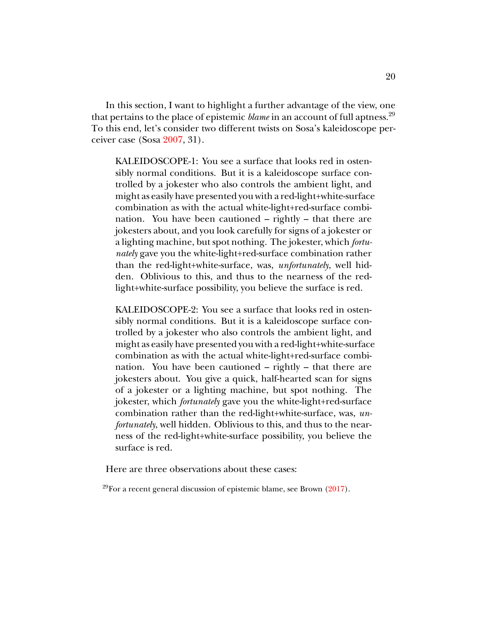In this section, I want to highlight a further advantage of the view, one that pertains to the place of epistemic *blame* in an account of full aptness.[29](#page-20-0) To this end, let's consider two different twists on Sosa's kaleidoscope perceiver case (Sosa [2007](#page-24-0), 31).

KALEIDOSCOPE-1: You see a surface that looks red in ostensibly normal conditions. But it is a kaleidoscope surface controlled by a jokester who also controls the ambient light, and might as easily have presented you with a red-light+white-surface combination as with the actual white-light+red-surface combination. You have been cautioned – rightly – that there are jokesters about, and you look carefully for signs of a jokester or a lighting machine, but spot nothing. The jokester, which *fortunately* gave you the white-light+red-surface combination rather than the red-light+white-surface, was, *unfortunately*, well hidden. Oblivious to this, and thus to the nearness of the redlight+white-surface possibility, you believe the surface is red.

KALEIDOSCOPE-2: You see a surface that looks red in ostensibly normal conditions. But it is a kaleidoscope surface controlled by a jokester who also controls the ambient light, and might as easily have presented you with a red-light+white-surface combination as with the actual white-light+red-surface combination. You have been cautioned – rightly – that there are jokesters about. You give a quick, half-hearted scan for signs of a jokester or a lighting machine, but spot nothing. The jokester, which *fortunately* gave you the white-light+red-surface combination rather than the red-light+white-surface, was, *unfortunately*, well hidden. Oblivious to this, and thus to the nearness of the red-light+white-surface possibility, you believe the surface is red.

Here are three observations about these cases:

<span id="page-20-0"></span> $29$ Fora recent general discussion of epistemic blame, see Brown ([2017\)](#page-23-8).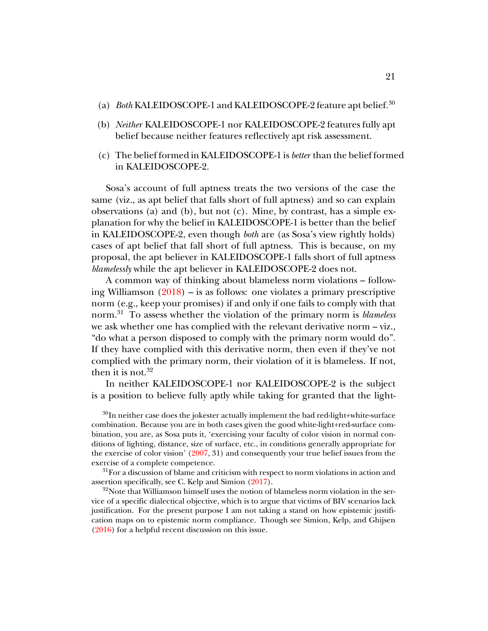- (a) *Both* KALEIDOSCOPE-1 and KALEIDOSCOPE-2 feature apt belief.<sup>[30](#page-21-0)</sup>
- (b) *Neither* KALEIDOSCOPE-1 nor KALEIDOSCOPE-2 features fully apt belief because neither features reflectively apt risk assessment.
- (c) The belief formed in KALEIDOSCOPE-1 is *better* than the belief formed in KALEIDOSCOPE-2.

Sosa's account of full aptness treats the two versions of the case the same (viz., as apt belief that falls short of full aptness) and so can explain observations (a) and (b), but not (c). Mine, by contrast, has a simple explanation for why the belief in KALEIDOSCOPE-1 is better than the belief in KALEIDOSCOPE-2, even though *both* are (as Sosa's view rightly holds) cases of apt belief that fall short of full aptness. This is because, on my proposal, the apt believer in KALEIDOSCOPE-1 falls short of full aptness *blamelessly* while the apt believer in KALEIDOSCOPE-2 does not.

A common way of thinking about blameless norm violations – follow-ingWilliamson  $(2018)$  $(2018)$  – is as follows: one violates a primary prescriptive norm (e.g., keep your promises) if and only if one fails to comply with that norm.[31](#page-21-1) To assess whether the violation of the primary norm is *blameless* we ask whether one has complied with the relevant derivative norm – viz., "do what a person disposed to comply with the primary norm would do". If they have complied with this derivative norm, then even if they've not complied with the primary norm, their violation of it is blameless. If not, then it is not.  $32$ 

In neither KALEIDOSCOPE-1 nor KALEIDOSCOPE-2 is the subject is a position to believe fully aptly while taking for granted that the light-

<span id="page-21-0"></span> $30$ In neither case does the jokester actually implement the bad red-light+white-surface combination. Because you are in both cases given the good white-light+red-surface combination, you are, as Sosa puts it, 'exercising your faculty of color vision in normal conditions of lighting, distance, size of surface, etc., in conditions generally appropriate for the exercise of color vision' [\(2007,](#page-24-0) 31) and consequently your true belief issues from the exercise of a complete competence.

<span id="page-21-1"></span> $31$  For a discussion of blame and criticism with respect to norm violations in action and assertion specifically, see C. Kelp and Simion([2017\)](#page-24-14).

<span id="page-21-2"></span> $32$ Note that Williamson himself uses the notion of blameless norm violation in the service of a specific dialectical objective, which is to argue that victims of BIV scenarios lack justification. For the present purpose I am not taking a stand on how epistemic justification maps on to epistemic norm compliance. Though see Simion, Kelp, and Ghijsen [\(2016\)](#page-24-3) for a helpful recent discussion on this issue.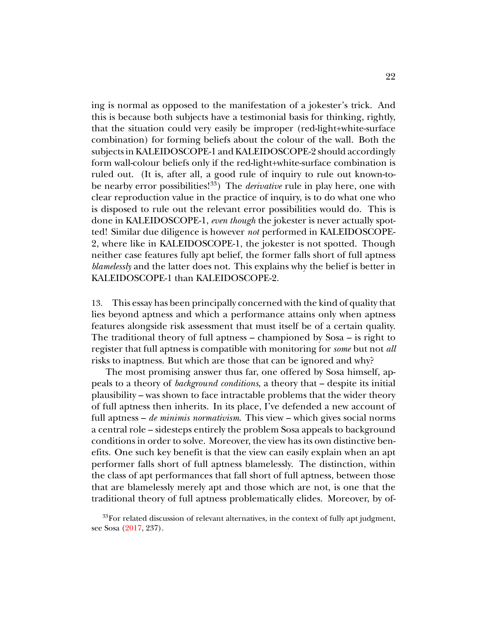ing is normal as opposed to the manifestation of a jokester's trick. And this is because both subjects have a testimonial basis for thinking, rightly, that the situation could very easily be improper (red-light+white-surface combination) for forming beliefs about the colour of the wall. Both the subjects in KALEIDOSCOPE-1 and KALEIDOSCOPE-2 should accordingly form wall-colour beliefs only if the red-light+white-surface combination is ruled out. (It is, after all, a good rule of inquiry to rule out known-tobe nearby error possibilities![33](#page-22-0)) The *derivative* rule in play here, one with clear reproduction value in the practice of inquiry, is to do what one who is disposed to rule out the relevant error possibilities would do. This is done in KALEIDOSCOPE-1, *even though* the jokester is never actually spotted! Similar due diligence is however *not* performed in KALEIDOSCOPE-2, where like in KALEIDOSCOPE-1, the jokester is not spotted. Though neither case features fully apt belief, the former falls short of full aptness *blamelessly* and the latter does not. This explains why the belief is better in KALEIDOSCOPE-1 than KALEIDOSCOPE-2.

13. This essay has been principally concerned with the kind of quality that lies beyond aptness and which a performance attains only when aptness features alongside risk assessment that must itself be of a certain quality. The traditional theory of full aptness – championed by Sosa – is right to register that full aptness is compatible with monitoring for *some* but not *all* risks to inaptness. But which are those that can be ignored and why?

The most promising answer thus far, one offered by Sosa himself, appeals to a theory of *background conditions*, a theory that – despite its initial plausibility – was shown to face intractable problems that the wider theory of full aptness then inherits. In its place, I've defended a new account of full aptness – *de minimis normativism*. This view – which gives social norms a central role – sidesteps entirely the problem Sosa appeals to background conditions in order to solve. Moreover, the view has its own distinctive benefits. One such key benefit is that the view can easily explain when an apt performer falls short of full aptness blamelessly. The distinction, within the class of apt performances that fall short of full aptness, between those that are blamelessly merely apt and those which are not, is one that the traditional theory of full aptness problematically elides. Moreover, by of-

<span id="page-22-0"></span><sup>&</sup>lt;sup>33</sup>For related discussion of relevant alternatives, in the context of fully apt judgment, see Sosa [\(2017,](#page-25-1) 237).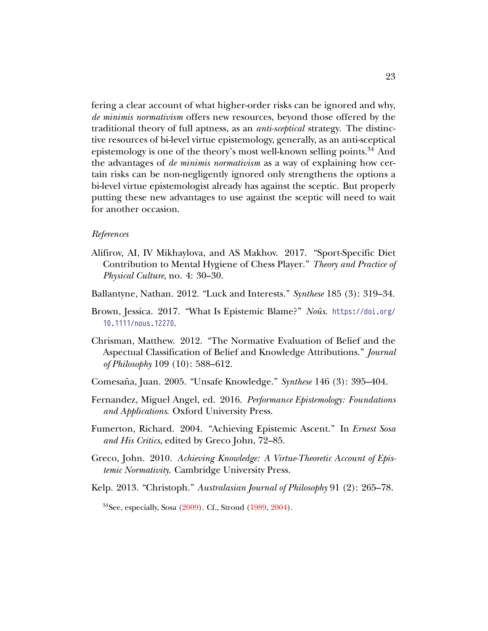fering a clear account of what higher-order risks can be ignored and why, *de minimis normativism* offers new resources, beyond those offered by the traditional theory of full aptness, as an *anti-sceptical* strategy. The distinctive resources of bi-level virtue epistemology, generally, as an anti-sceptical epistemology is one of the theory's most well-known selling points.<sup>[34](#page-23-9)</sup> And the advantages of *de minimis normativism* as a way of explaining how certain risks can be non-negligently ignored only strengthens the options a bi-level virtue epistemologist already has against the sceptic. But properly putting these new advantages to use against the sceptic will need to wait for another occasion.

## *References*

- <span id="page-23-4"></span>Alifirov, AI, IV Mikhaylova, and AS Makhov. 2017. "Sport-Specific Diet Contribution to Mental Hygiene of Chess Player." *Theory and Practice of Physical Culture*, no. 4: 30–30.
- <span id="page-23-6"></span>Ballantyne, Nathan. 2012. "Luck and Interests." *Synthese* 185 (3): 319–34.
- <span id="page-23-8"></span>Brown, Jessica. 2017. "What Is Epistemic Blame?" *Noûs*. [https://doi.org/](https://doi.org/10.1111/nous.12270) [10.1111/nous.12270](https://doi.org/10.1111/nous.12270).
- <span id="page-23-3"></span>Chrisman, Matthew. 2012. "The Normative Evaluation of Belief and the Aspectual Classification of Belief and Knowledge Attributions." *Journal of Philosophy* 109 (10): 588–612.
- <span id="page-23-5"></span>Comesaña, Juan. 2005. "Unsafe Knowledge." *Synthese* 146 (3): 395–404.
- <span id="page-23-0"></span>Fernandez, Miguel Angel, ed. 2016. *Performance Epistemology: Foundations and Applications*. Oxford University Press.
- <span id="page-23-7"></span>Fumerton, Richard. 2004. "Achieving Epistemic Ascent." In *Ernest Sosa and His Critics*, edited by Greco John, 72–85.
- <span id="page-23-2"></span>Greco, John. 2010. *Achieving Knowledge: A Virtue-Theoretic Account of Epistemic Normativity*. Cambridge University Press.
- <span id="page-23-1"></span>Kelp. 2013. "Christoph." *Australasian Journal of Philosophy* 91 (2): 265–78.

<span id="page-23-9"></span><sup>34</sup>See, especially, Sosa [\(2009](#page-25-8)). Cf., Stroud([1989](#page-25-9), [2004](#page-25-10)).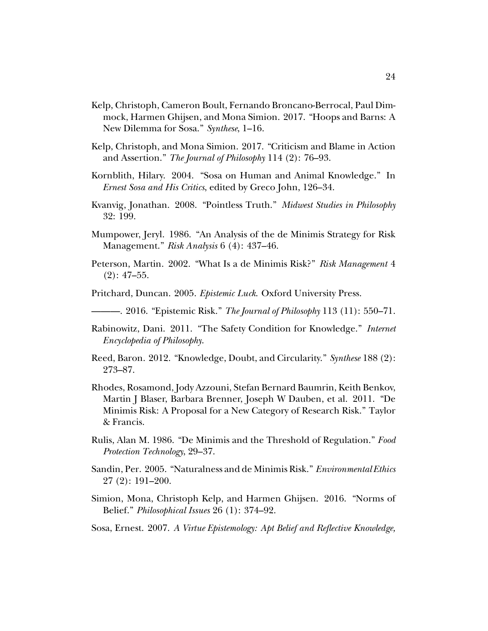- <span id="page-24-1"></span>Kelp, Christoph, Cameron Boult, Fernando Broncano-Berrocal, Paul Dimmock, Harmen Ghijsen, and Mona Simion. 2017. "Hoops and Barns: A New Dilemma for Sosa." *Synthese*, 1–16.
- <span id="page-24-14"></span>Kelp, Christoph, and Mona Simion. 2017. "Criticism and Blame in Action and Assertion." *The Journal of Philosophy* 114 (2): 76–93.
- <span id="page-24-13"></span>Kornblith, Hilary. 2004. "Sosa on Human and Animal Knowledge." In *Ernest Sosa and His Critics*, edited by Greco John, 126–34.
- <span id="page-24-2"></span>Kvanvig, Jonathan. 2008. "Pointless Truth." *Midwest Studies in Philosophy* 32: 199.
- <span id="page-24-8"></span>Mumpower, Jeryl. 1986. "An Analysis of the de Minimis Strategy for Risk Management." *Risk Analysis* 6 (4): 437–46.
- <span id="page-24-4"></span>Peterson, Martin. 2002. "What Is a de Minimis Risk?" *Risk Management* 4 (2): 47–55.
- <span id="page-24-10"></span>Pritchard, Duncan. 2005. *Epistemic Luck*. Oxford University Press.
- <span id="page-24-11"></span>———. 2016. "Epistemic Risk." *The Journal of Philosophy* 113 (11): 550–71.
- <span id="page-24-9"></span>Rabinowitz, Dani. 2011. "The Safety Condition for Knowledge." *Internet Encyclopedia of Philosophy*.
- <span id="page-24-12"></span>Reed, Baron. 2012. "Knowledge, Doubt, and Circularity." *Synthese* 188 (2): 273–87.
- <span id="page-24-7"></span>Rhodes, Rosamond, Jody Azzouni, Stefan Bernard Baumrin, Keith Benkov, Martin J Blaser, Barbara Brenner, Joseph W Dauben, et al. 2011. "De Minimis Risk: A Proposal for a New Category of Research Risk." Taylor & Francis.
- <span id="page-24-6"></span>Rulis, Alan M. 1986. "De Minimis and the Threshold of Regulation." *Food Protection Technology*, 29–37.
- <span id="page-24-5"></span>Sandin, Per. 2005. "Naturalness and de Minimis Risk." *Environmental Ethics* 27 (2): 191–200.
- <span id="page-24-3"></span>Simion, Mona, Christoph Kelp, and Harmen Ghijsen. 2016. "Norms of Belief." *Philosophical Issues* 26 (1): 374–92.
- <span id="page-24-0"></span>Sosa, Ernest. 2007. *A Virtue Epistemology: Apt Belief and Reflective Knowledge,*